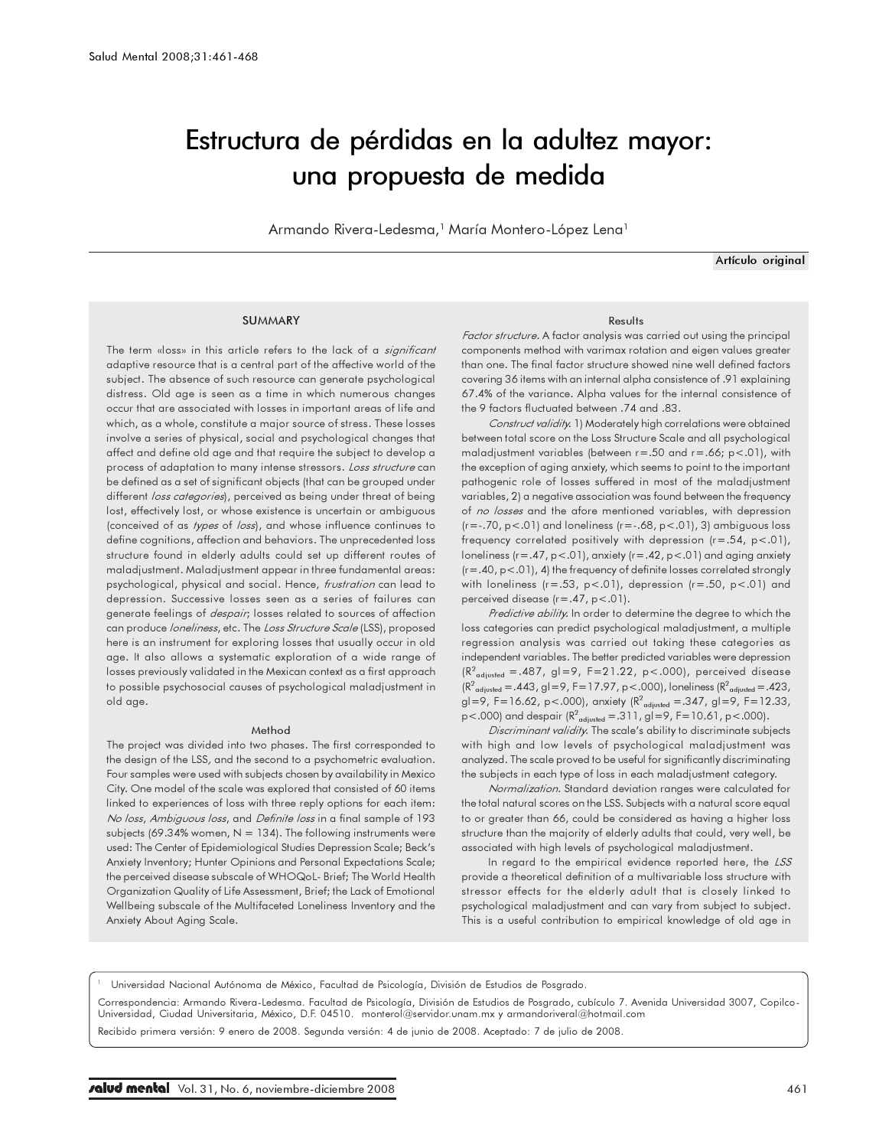# Estructura de pérdidas en la adultez mayor: una propuesta de medida

Armando Rivera-Ledesma,<sup>1</sup> María Montero-López Lena<sup>1</sup>

Artículo original

### **SUMMARY**

The term «loss» in this article refers to the lack of a significant adaptive resource that is a central part of the affective world of the subject. The absence of such resource can generate psychological distress. Old age is seen as a time in which numerous changes occur that are associated with losses in important areas of life and which, as a whole, constitute a major source of stress. These losses involve a series of physical, social and psychological changes that affect and define old age and that require the subject to develop a process of adaptation to many intense stressors. Loss structure can be defined as a set of significant objects (that can be grouped under different loss categories), perceived as being under threat of being lost, effectively lost, or whose existence is uncertain or ambiguous (conceived of as types of loss), and whose influence continues to define cognitions, affection and behaviors. The unprecedented loss structure found in elderly adults could set up different routes of maladjustment. Maladjustment appear in three fundamental areas: psychological, physical and social. Hence, frustration can lead to depression. Successive losses seen as a series of failures can generate feelings of *despair*; losses related to sources of affection can produce *loneliness*, etc. The Loss Structure Scale (LSS), proposed here is an instrument for exploring losses that usually occur in old age. It also allows a systematic exploration of a wide range of losses previously validated in the Mexican context as a first approach to possible psychosocial causes of psychological maladjustment in old age.

#### Method

The project was divided into two phases. The first corresponded to the design of the LSS, and the second to a psychometric evaluation. Four samples were used with subjects chosen by availability in Mexico City. One model of the scale was explored that consisted of 60 items linked to experiences of loss with three reply options for each item: No loss, Ambiguous loss, and Definite loss in a final sample of 193 subjects (69.34% women,  $N = 134$ ). The following instruments were used: The Center of Epidemiological Studies Depression Scale; Beck's Anxiety Inventory; Hunter Opinions and Personal Expectations Scale; the perceived disease subscale of WHOQoL- Brief; The World Health Organization Quality of Life Assessment, Brief; the Lack of Emotional Wellbeing subscale of the Multifaceted Loneliness Inventory and the Anxiety About Aging Scale.

#### Results

Factor structure. A factor analysis was carried out using the principal components method with varimax rotation and eigen values greater than one. The final factor structure showed nine well defined factors covering 36 items with an internal alpha consistence of .91 explaining 67.4% of the variance. Alpha values for the internal consistence of the 9 factors fluctuated between .74 and .83.

Construct validity. 1) Moderately high correlations were obtained between total score on the Loss Structure Scale and all psychological maladjustment variables (between r=.50 and r=.66; p<.01), with the exception of aging anxiety, which seems to point to the important pathogenic role of losses suffered in most of the maladjustment variables, 2) a negative association was found between the frequency of no losses and the afore mentioned variables, with depression ( $r = -0.70$ ,  $p < 01$ ) and loneliness ( $r = -0.68$ ,  $p < 01$ ), 3) ambiguous loss frequency correlated positively with depression  $(r=.54, p<.01)$ , loneliness (r=.47, p<.01), anxiety (r=.42, p<.01) and aging anxiety (r=.40, p<.01), 4) the frequency of definite losses correlated strongly with loneliness  $(r=.53, p<.01)$ , depression  $(r=.50, p<.01)$  and perceived disease (r=.47, p<.01).

Predictive ability. In order to determine the degree to which the loss categories can predict psychological maladjustment, a multiple regression analysis was carried out taking these categories as independent variables. The better predicted variables were depression  $(R^2_{\text{adjusted}} = .487, g=0) = 9, F = 21.22, p < .000$ , perceived disease  $(R^2_{\text{adjusted}} = .443, g1 = 9, F = 17.97, p < .000),$  loneliness  $(R^2_{\text{adjusted}} = .423, g1)$ gl=9, F=16.62, p<.000), anxiety ( $R^2_{\text{adjusted}} = .347$ , gl=9, F=12.33, p<.000) and despair  $(R^2_{\text{adjusted}} = .311, g$ l=9, F=10.61, p<.000).

Discriminant validity. The scale's ability to discriminate subjects with high and low levels of psychological maladjustment was analyzed. The scale proved to be useful for significantly discriminating the subjects in each type of loss in each maladjustment category.

Normalization. Standard deviation ranges were calculated for the total natural scores on the LSS. Subjects with a natural score equal to or greater than 66, could be considered as having a higher loss structure than the majority of elderly adults that could, very well, be associated with high levels of psychological maladjustment.

In regard to the empirical evidence reported here, the LSS provide a theoretical definition of a multivariable loss structure with stressor effects for the elderly adult that is closely linked to psychological maladjustment and can vary from subject to subject. This is a useful contribution to empirical knowledge of old age in

<sup>1</sup> Universidad Nacional Autónoma de México, Facultad de Psicología, División de Estudios de Posgrado.

Correspondencia: Armando Rivera-Ledesma. Facultad de Psicología, División de Estudios de Posgrado, cubículo 7. Avenida Universidad 3007, Copilco-Universidad, Ciudad Universitaria, México, D.F. 04510. monterol@servidor.unam.mx y armandoriveral@hotmail.com

Recibido primera versión: 9 enero de 2008. Segunda versión: 4 de junio de 2008. Aceptado: 7 de julio de 2008.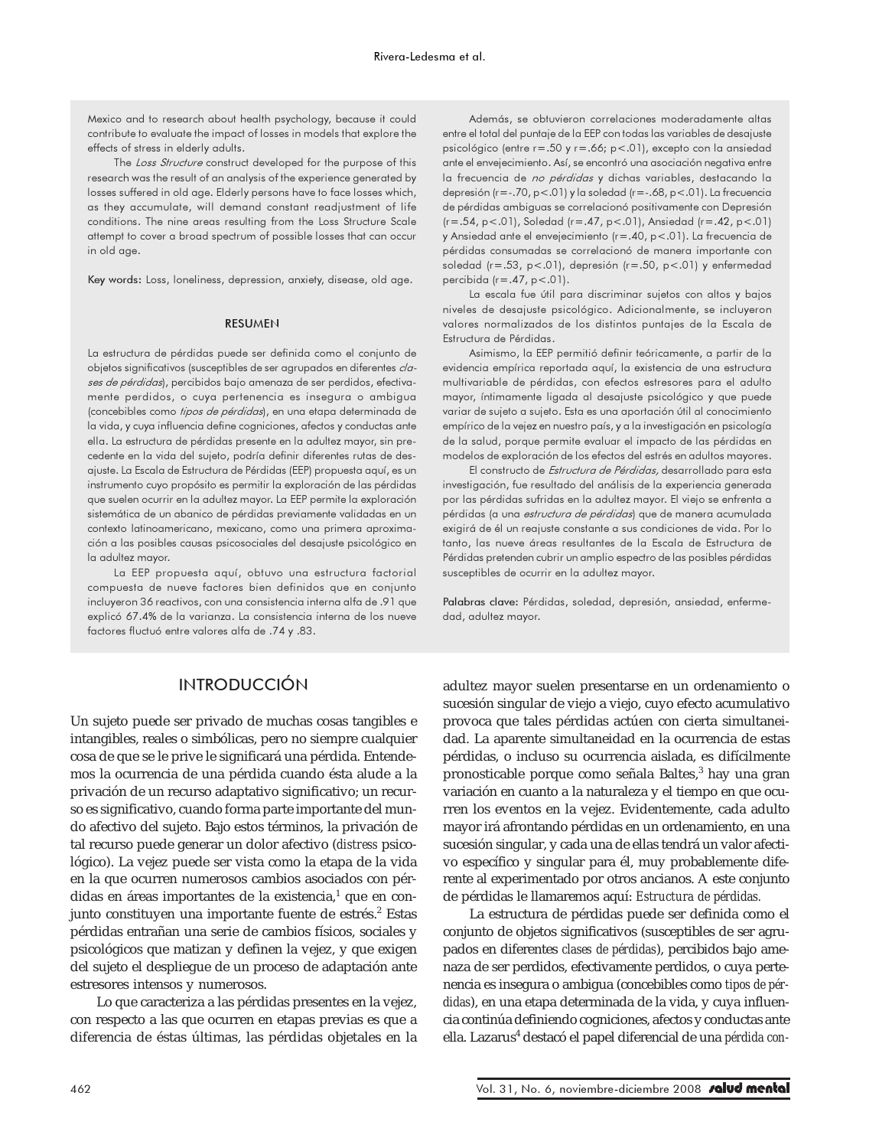Mexico and to research about health psychology, because it could contribute to evaluate the impact of losses in models that explore the effects of stress in elderly adults.

The Loss Structure construct developed for the purpose of this research was the result of an analysis of the experience generated by losses suffered in old age. Elderly persons have to face losses which, as they accumulate, will demand constant readjustment of life conditions. The nine areas resulting from the Loss Structure Scale attempt to cover a broad spectrum of possible losses that can occur in old age.

Key words: Loss, loneliness, depression, anxiety, disease, old age.

#### RESUMEN

La estructura de pérdidas puede ser definida como el conjunto de objetos significativos (susceptibles de ser agrupados en diferentes clases de pérdidas), percibidos bajo amenaza de ser perdidos, efectivamente perdidos, o cuya pertenencia es insegura o ambigua (concebibles como tipos de pérdidas), en una etapa determinada de la vida, y cuya influencia define cogniciones, afectos y conductas ante ella. La estructura de pérdidas presente en la adultez mayor, sin precedente en la vida del sujeto, podría definir diferentes rutas de desajuste. La Escala de Estructura de Pérdidas (EEP) propuesta aquí, es un instrumento cuyo propósito es permitir la exploración de las pérdidas que suelen ocurrir en la adultez mayor. La EEP permite la exploración sistemática de un abanico de pérdidas previamente validadas en un contexto latinoamericano, mexicano, como una primera aproximación a las posibles causas psicosociales del desajuste psicológico en la adultez mayor.

La EEP propuesta aquí, obtuvo una estructura factorial compuesta de nueve factores bien definidos que en conjunto incluyeron 36 reactivos, con una consistencia interna alfa de .91 que explicó 67.4% de la varianza. La consistencia interna de los nueve factores fluctuó entre valores alfa de .74 y .83.

Además, se obtuvieron correlaciones moderadamente altas entre el total del puntaje de la EEP con todas las variables de desajuste psicológico (entre r=.50 y r=.66; p<.01), excepto con la ansiedad ante el envejecimiento. Así, se encontró una asociación negativa entre la frecuencia de no pérdidas y dichas variables, destacando la depresión (r=-.70, p<.01) y la soledad (r=-.68, p<.01). La frecuencia de pérdidas ambiguas se correlacionó positivamente con Depresión (r=.54, p<.01), Soledad (r=.47, p<.01), Ansiedad (r=.42, p<.01) y Ansiedad ante el envejecimiento (r=.40, p<.01). La frecuencia de pérdidas consumadas se correlacionó de manera importante con soledad (r=.53, p<.01), depresión (r=.50, p<.01) y enfermedad percibida (r=.47, p<.01).

La escala fue útil para discriminar sujetos con altos y bajos niveles de desajuste psicológico. Adicionalmente, se incluyeron valores normalizados de los distintos puntajes de la Escala de Estructura de Pérdidas.

Asimismo, la EEP permitió definir teóricamente, a partir de la evidencia empírica reportada aquí, la existencia de una estructura multivariable de pérdidas, con efectos estresores para el adulto mayor, íntimamente ligada al desajuste psicológico y que puede variar de sujeto a sujeto. Esta es una aportación útil al conocimiento empírico de la vejez en nuestro país, y a la investigación en psicología de la salud, porque permite evaluar el impacto de las pérdidas en modelos de exploración de los efectos del estrés en adultos mayores.

El constructo de Estructura de Pérdidas, desarrollado para esta investigación, fue resultado del análisis de la experiencia generada por las pérdidas sufridas en la adultez mayor. El viejo se enfrenta a pérdidas (a una estructura de pérdidas) que de manera acumulada exigirá de él un reajuste constante a sus condiciones de vida. Por lo tanto, las nueve áreas resultantes de la Escala de Estructura de Pérdidas pretenden cubrir un amplio espectro de las posibles pérdidas susceptibles de ocurrir en la adultez mayor.

Palabras clave: Pérdidas, soledad, depresión, ansiedad, enfermedad, adultez mayor.

### INTRODUCCIÓN

Un sujeto puede ser privado de muchas cosas tangibles e intangibles, reales o simbólicas, pero no siempre cualquier cosa de que se le prive le significará una pérdida. Entendemos la ocurrencia de una pérdida cuando ésta alude a la privación de un recurso adaptativo significativo; un recurso es significativo, cuando forma parte importante del mundo afectivo del sujeto. Bajo estos términos, la privación de tal recurso puede generar un dolor afectivo (*distress* psicológico). La vejez puede ser vista como la etapa de la vida en la que ocurren numerosos cambios asociados con pérdidas en áreas importantes de la existencia,<sup>1</sup> que en conjunto constituyen una importante fuente de estrés.<sup>2</sup> Estas pérdidas entrañan una serie de cambios físicos, sociales y psicológicos que matizan y definen la vejez, y que exigen del sujeto el despliegue de un proceso de adaptación ante estresores intensos y numerosos.

Lo que caracteriza a las pérdidas presentes en la vejez, con respecto a las que ocurren en etapas previas es que a diferencia de éstas últimas, las pérdidas objetales en la

adultez mayor suelen presentarse en un ordenamiento o sucesión singular de viejo a viejo, cuyo efecto acumulativo provoca que tales pérdidas actúen con cierta simultaneidad. La aparente simultaneidad en la ocurrencia de estas pérdidas, o incluso su ocurrencia aislada, es difícilmente pronosticable porque como señala Baltes, $^3$  hay una gran variación en cuanto a la naturaleza y el tiempo en que ocurren los eventos en la vejez. Evidentemente, cada adulto mayor irá afrontando pérdidas en un ordenamiento, en una sucesión singular, y cada una de ellas tendrá un valor afectivo específico y singular para él, muy probablemente diferente al experimentado por otros ancianos. A este conjunto de pérdidas le llamaremos aquí: *Estructura de pérdidas.*

La estructura de pérdidas puede ser definida como el conjunto de objetos significativos (susceptibles de ser agrupados en diferentes *clases de pérdidas*), percibidos bajo amenaza de ser perdidos, efectivamente perdidos, o cuya pertenencia es insegura o ambigua (concebibles como *tipos de pérdidas*), en una etapa determinada de la vida, y cuya influencia continúa definiendo cogniciones, afectos y conductas ante ella. Lazarus<sup>4</sup> destacó el papel diferencial de una *pérdida con-*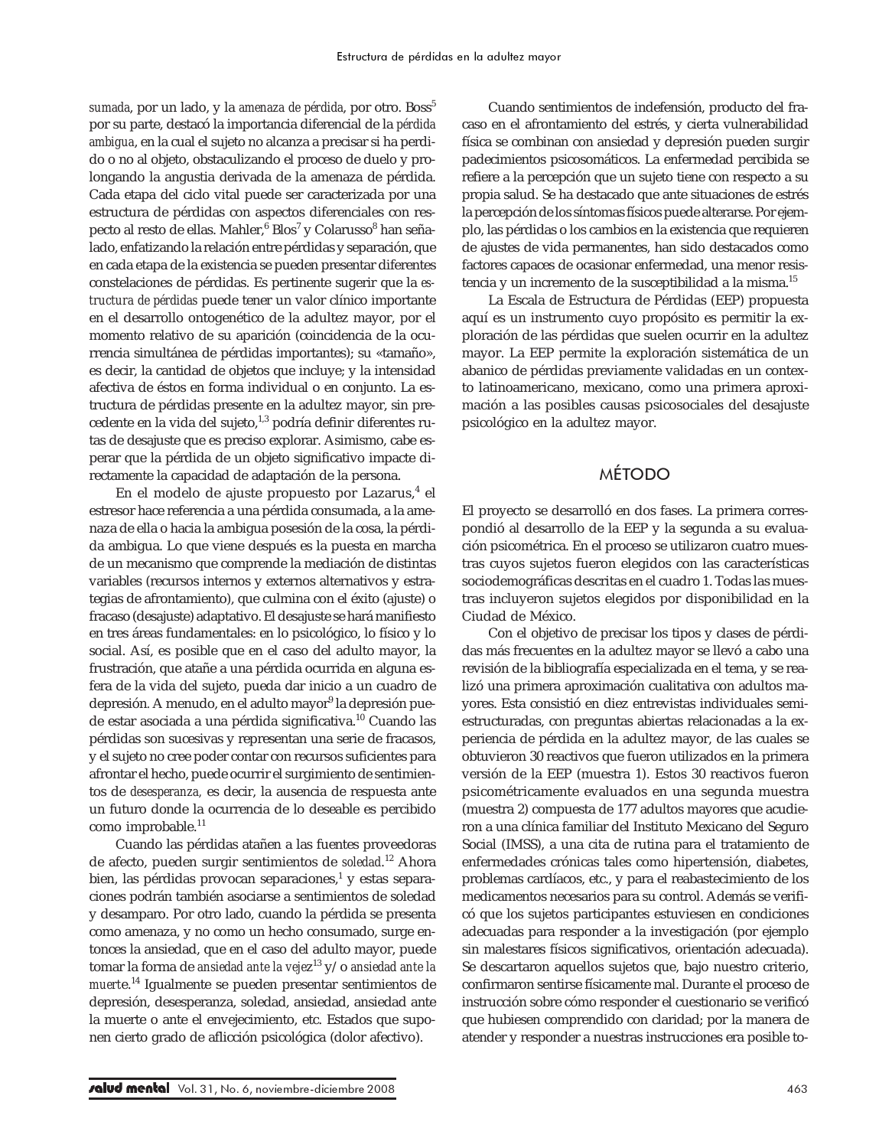sumada, por un lado, y la *amenaza de pérdida*, por otro. Boss<sup>5</sup> por su parte, destacó la importancia diferencial de la *pérdida ambigua*, en la cual el sujeto no alcanza a precisar si ha perdido o no al objeto, obstaculizando el proceso de duelo y prolongando la angustia derivada de la amenaza de pérdida. Cada etapa del ciclo vital puede ser caracterizada por una estructura de pérdidas con aspectos diferenciales con respecto al resto de ellas. Mahler, $^6$  Blos $^7\,\mathrm{y}$  Colarusso $^8$  han señalado, enfatizando la relación entre pérdidas y separación, que en cada etapa de la existencia se pueden presentar diferentes constelaciones de pérdidas. Es pertinente sugerir que la *estructura de pérdidas* puede tener un valor clínico importante en el desarrollo ontogenético de la adultez mayor, por el momento relativo de su aparición (coincidencia de la ocurrencia simultánea de pérdidas importantes); su «tamaño», es decir, la cantidad de objetos que incluye; y la intensidad afectiva de éstos en forma individual o en conjunto. La estructura de pérdidas presente en la adultez mayor, sin precedente en la vida del sujeto,<sup>1,3</sup> podría definir diferentes rutas de desajuste que es preciso explorar. Asimismo, cabe esperar que la pérdida de un objeto significativo impacte directamente la capacidad de adaptación de la persona.

En el modelo de ajuste propuesto por Lazarus, $^4$  el estresor hace referencia a una pérdida consumada, a la amenaza de ella o hacia la ambigua posesión de la cosa, la pérdida ambigua. Lo que viene después es la puesta en marcha de un mecanismo que comprende la mediación de distintas variables (recursos internos y externos alternativos y estrategias de afrontamiento), que culmina con el éxito (ajuste) o fracaso (desajuste) adaptativo. El desajuste se hará manifiesto en tres áreas fundamentales: en lo psicológico, lo físico y lo social. Así, es posible que en el caso del adulto mayor, la frustración, que atañe a una pérdida ocurrida en alguna esfera de la vida del sujeto, pueda dar inicio a un cuadro de depresión. A menudo, en el adulto mayor<sup>9</sup> la depresión puede estar asociada a una pérdida significativa.10 Cuando las pérdidas son sucesivas y representan una serie de fracasos, y el sujeto no cree poder contar con recursos suficientes para afrontar el hecho, puede ocurrir el surgimiento de sentimientos de *desesperanza,* es decir, la ausencia de respuesta ante un futuro donde la ocurrencia de lo deseable es percibido como improbable.<sup>11</sup>

Cuando las pérdidas atañen a las fuentes proveedoras de afecto, pueden surgir sentimientos de *soledad*. 12 Ahora bien, las pérdidas provocan separaciones, $^1$  y estas separaciones podrán también asociarse a sentimientos de soledad y desamparo. Por otro lado, cuando la pérdida se presenta como amenaza, y no como un hecho consumado, surge entonces la ansiedad, que en el caso del adulto mayor, puede tomar la forma de *ansiedad ante la veje*z13 y/o *ansiedad ante la muert*e.<sup>14</sup> Igualmente se pueden presentar sentimientos de depresión, desesperanza, soledad, ansiedad, ansiedad ante la muerte o ante el envejecimiento, etc. Estados que suponen cierto grado de aflicción psicológica (dolor afectivo).

Cuando sentimientos de indefensión, producto del fracaso en el afrontamiento del estrés, y cierta vulnerabilidad física se combinan con ansiedad y depresión pueden surgir padecimientos psicosomáticos. La enfermedad percibida se refiere a la percepción que un sujeto tiene con respecto a su propia salud. Se ha destacado que ante situaciones de estrés la percepción de los síntomas físicos puede alterarse. Por ejemplo, las pérdidas o los cambios en la existencia que requieren de ajustes de vida permanentes, han sido destacados como factores capaces de ocasionar enfermedad, una menor resistencia y un incremento de la susceptibilidad a la misma.15

La Escala de Estructura de Pérdidas (EEP) propuesta aquí es un instrumento cuyo propósito es permitir la exploración de las pérdidas que suelen ocurrir en la adultez mayor. La EEP permite la exploración sistemática de un abanico de pérdidas previamente validadas en un contexto latinoamericano, mexicano, como una primera aproximación a las posibles causas psicosociales del desajuste psicológico en la adultez mayor.

## MÉTODO

El proyecto se desarrolló en dos fases. La primera correspondió al desarrollo de la EEP y la segunda a su evaluación psicométrica. En el proceso se utilizaron cuatro muestras cuyos sujetos fueron elegidos con las características sociodemográficas descritas en el cuadro 1. Todas las muestras incluyeron sujetos elegidos por disponibilidad en la Ciudad de México.

Con el objetivo de precisar los tipos y clases de pérdidas más frecuentes en la adultez mayor se llevó a cabo una revisión de la bibliografía especializada en el tema, y se realizó una primera aproximación cualitativa con adultos mayores. Esta consistió en diez entrevistas individuales semiestructuradas, con preguntas abiertas relacionadas a la experiencia de pérdida en la adultez mayor, de las cuales se obtuvieron 30 reactivos que fueron utilizados en la primera versión de la EEP (muestra 1). Estos 30 reactivos fueron psicométricamente evaluados en una segunda muestra (muestra 2) compuesta de 177 adultos mayores que acudieron a una clínica familiar del Instituto Mexicano del Seguro Social (IMSS), a una cita de rutina para el tratamiento de enfermedades crónicas tales como hipertensión, diabetes, problemas cardíacos, etc., y para el reabastecimiento de los medicamentos necesarios para su control. Además se verificó que los sujetos participantes estuviesen en condiciones adecuadas para responder a la investigación (por ejemplo sin malestares físicos significativos, orientación adecuada). Se descartaron aquellos sujetos que, bajo nuestro criterio, confirmaron sentirse físicamente mal. Durante el proceso de instrucción sobre cómo responder el cuestionario se verificó que hubiesen comprendido con claridad; por la manera de atender y responder a nuestras instrucciones era posible to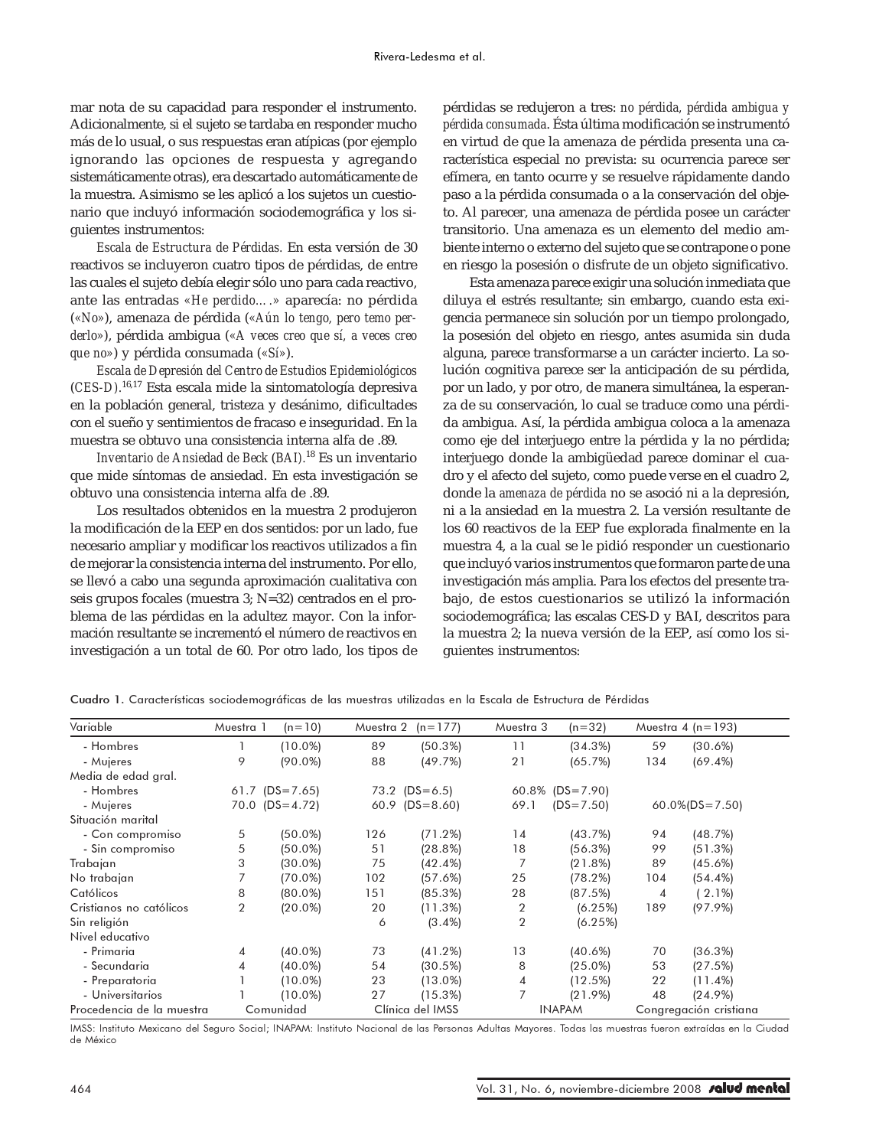mar nota de su capacidad para responder el instrumento. Adicionalmente, si el sujeto se tardaba en responder mucho más de lo usual, o sus respuestas eran atípicas (por ejemplo ignorando las opciones de respuesta y agregando sistemáticamente otras), era descartado automáticamente de la muestra. Asimismo se les aplicó a los sujetos un cuestionario que incluyó información sociodemográfica y los siguientes instrumentos:

*Escala de Estructura de Pérdidas.* En esta versión de 30 reactivos se incluyeron cuatro tipos de pérdidas, de entre las cuales el sujeto debía elegir sólo uno para cada reactivo, ante las entradas *«He perdido….»* aparecía: no pérdida (*«No»*), amenaza de pérdida (*«Aún lo tengo, pero temo perderlo»*), pérdida ambigua (*«A veces creo que sí, a veces creo que no»*) y pérdida consumada (*«Sí»*).

*Escala de Depresión del Centro de Estudios Epidemiológicos* (*CES-D).*16,17 Esta escala mide la sintomatología depresiva en la población general, tristeza y desánimo, dificultades con el sueño y sentimientos de fracaso e inseguridad. En la muestra se obtuvo una consistencia interna alfa de .89.

*Inventario de Ansiedad de Beck* (*BAI).*18 Es un inventario que mide síntomas de ansiedad. En esta investigación se obtuvo una consistencia interna alfa de .89.

Los resultados obtenidos en la muestra 2 produjeron la modificación de la EEP en dos sentidos: por un lado, fue necesario ampliar y modificar los reactivos utilizados a fin de mejorar la consistencia interna del instrumento. Por ello, se llevó a cabo una segunda aproximación cualitativa con seis grupos focales (muestra 3; N=32) centrados en el problema de las pérdidas en la adultez mayor. Con la información resultante se incrementó el número de reactivos en investigación a un total de 60. Por otro lado, los tipos de

pérdidas se redujeron a tres: *no pérdida, pérdida ambigua y pérdida consumada*. Ésta última modificación se instrumentó en virtud de que la amenaza de pérdida presenta una característica especial no prevista: su ocurrencia parece ser efímera, en tanto ocurre y se resuelve rápidamente dando paso a la pérdida consumada o a la conservación del objeto. Al parecer, una amenaza de pérdida posee un carácter transitorio. Una amenaza es un elemento del medio ambiente interno o externo del sujeto que se contrapone o pone en riesgo la posesión o disfrute de un objeto significativo.

Esta amenaza parece exigir una solución inmediata que diluya el estrés resultante; sin embargo, cuando esta exigencia permanece sin solución por un tiempo prolongado, la posesión del objeto en riesgo, antes asumida sin duda alguna, parece transformarse a un carácter incierto. La solución cognitiva parece ser la anticipación de su pérdida, por un lado, y por otro, de manera simultánea, la esperanza de su conservación, lo cual se traduce como una pérdida ambigua. Así, la pérdida ambigua coloca a la amenaza como eje del interjuego entre la pérdida y la no pérdida; interjuego donde la ambigüedad parece dominar el cuadro y el afecto del sujeto, como puede verse en el cuadro 2, donde la *amenaza de pérdida* no se asoció ni a la depresión, ni a la ansiedad en la muestra 2. La versión resultante de los 60 reactivos de la EEP fue explorada finalmente en la muestra 4, a la cual se le pidió responder un cuestionario que incluyó varios instrumentos que formaron parte de una investigación más amplia. Para los efectos del presente trabajo, de estos cuestionarios se utilizó la información sociodemográfica; las escalas CES-D y BAI, descritos para la muestra 2; la nueva versión de la EEP, así como los siguientes instrumentos:

| Variable                  | Muestra 1      | $(n=10)$           | Muestra 2 | $(n=177)$        | Muestra 3 | $(n=32)$           |     | Muestra $4(n=193)$     |
|---------------------------|----------------|--------------------|-----------|------------------|-----------|--------------------|-----|------------------------|
| - Hombres                 |                | $(10.0\%)$         | 89        | (50.3%)          | 11        | (34.3%)            | 59  | (30.6%)                |
| - Mujeres                 | 9              | $(90.0\%)$         | 88        | (49.7%)          | 21        | (65.7%)            | 134 | $(69.4\%)$             |
| Media de edad gral.       |                |                    |           |                  |           |                    |     |                        |
| - Hombres                 |                | 61.7 $(DS = 7.65)$ |           | $73.2$ (DS=6.5)  |           | $60.8\%$ (DS=7.90) |     |                        |
| - Mujeres                 |                | $70.0$ (DS=4.72)   | 60.9      | $(DS=8.60)$      | 69.1      | $(DS = 7.50)$      |     | $60.0\%$ (DS=7.50)     |
| Situación marital         |                |                    |           |                  |           |                    |     |                        |
| - Con compromiso          | 5              | $(50.0\%)$         | 126       | (71.2%)          | 14        | (43.7%)            | 94  | (48.7%)                |
| - Sin compromiso          | 5              | $(50.0\%)$         | 51        | (28.8%)          | 18        | (56.3%)            | 99  | (51.3%)                |
| Trabajan                  | 3              | $(30.0\%)$         | 75        | (42.4%)          |           | (21.8%)            | 89  | (45.6%)                |
| No trabajan               |                | $(70.0\%)$         | 102       | (57.6%)          | 25        | (78.2%)            | 104 | $(54.4\%)$             |
| Católicos                 | 8              | $(80.0\%)$         | 151       | (85.3%)          | 28        | (87.5%)            | 4   | 2.1%)                  |
| Cristianos no católicos   | $\overline{2}$ | $(20.0\%)$         | 20        | (11.3%)          | 2         | (6.25%)            | 189 | (97.9%)                |
| Sin religión              |                |                    | 6         | $(3.4\%)$        | 2         | (6.25%)            |     |                        |
| Nivel educativo           |                |                    |           |                  |           |                    |     |                        |
| - Primaria                | 4              | $(40.0\%)$         | 73        | (41.2%)          | 13        | (40.6%)            | 70  | (36.3%)                |
| - Secundaria              | 4              | $(40.0\%)$         | 54        | (30.5%)          | 8         | $(25.0\%)$         | 53  | (27.5%)                |
| - Preparatoria            |                | $(10.0\%)$         | 23        | $(13.0\%)$       | 4         | (12.5%)            | 22  | $(11.4\%)$             |
| - Universitarios          |                | $(10.0\%)$         | 27        | (15.3%)          |           | (21.9%)            | 48  | (24.9%)                |
| Procedencia de la muestra |                | Comunidad          |           | Clínica del IMSS |           | <b>INAPAM</b>      |     | Congregación cristiana |

Cuadro 1. Características sociodemográficas de las muestras utilizadas en la Escala de Estructura de Pérdidas

IMSS: Instituto Mexicano del Seguro Social; INAPAM: Instituto Nacional de las Personas Adultas Mayores. Todas las muestras fueron extraídas en la Ciudad de México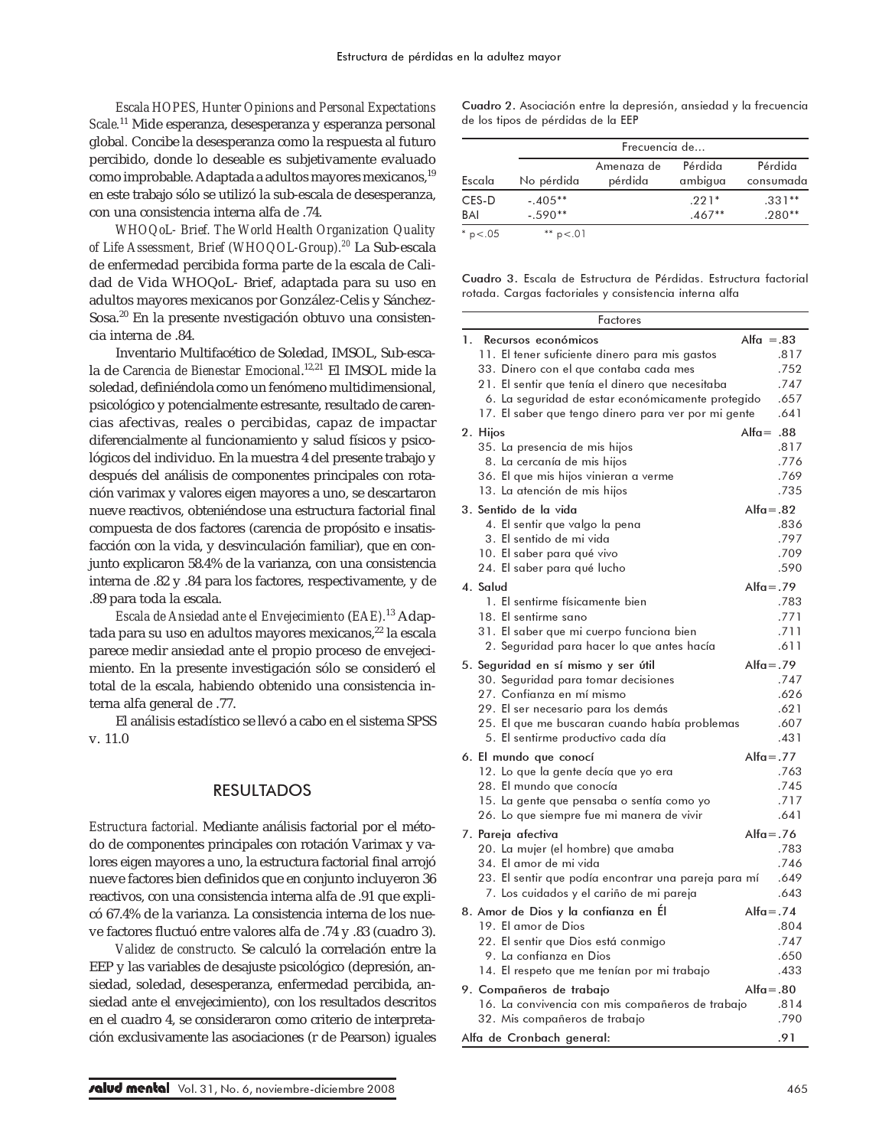*Escala HOPES, Hunter Opinions and Personal Expectations Scale.*11 Mide esperanza, desesperanza y esperanza personal globa*l.* Concibe la desesperanza como la respuesta al futuro percibido, donde lo deseable es subjetivamente evaluado como improbable. Adaptada a adultos mayores mexicanos,<sup>19</sup> en este trabajo sólo se utilizó la sub-escala de desesperanza, con una consistencia interna alfa de .74.

*WHOQoL- Brief. The World Health Organization Quality of Life Assessment, Brief (WHOQOL-Group).<sup>20</sup>* La Sub-escala de enfermedad percibida forma parte de la escala de Calidad de Vida WHOQoL- Brief, adaptada para su uso en adultos mayores mexicanos por González-Celis y Sánchez-Sosa.20 En la presente nvestigación obtuvo una consistencia interna de .84.

Inventario Multifacético de Soledad, IMSOL, Sub-escala de C*arencia de Bienestar Emocional*. 12,21 El IMSOL mide la soledad, definiéndola como un fenómeno multidimensional, psicológico y potencialmente estresante, resultado de carencias afectivas, reales o percibidas, capaz de impactar diferencialmente al funcionamiento y salud físicos y psicológicos del individuo. En la muestra 4 del presente trabajo y después del análisis de componentes principales con rotación varimax y valores eigen mayores a uno, se descartaron nueve reactivos, obteniéndose una estructura factorial final compuesta de dos factores (carencia de propósito e insatisfacción con la vida, y desvinculación familiar), que en conjunto explicaron 58.4% de la varianza, con una consistencia interna de .82 y .84 para los factores, respectivamente, y de .89 para toda la escala.

*Escala de Ansiedad ante el Envejecimiento* (*EAE).*13 Adaptada para su uso en adultos mayores mexicanos,<sup>22</sup> la escala parece medir ansiedad ante el propio proceso de envejecimiento. En la presente investigación sólo se consideró el total de la escala, habiendo obtenido una consistencia interna alfa general de .77.

El análisis estadístico se llevó a cabo en el sistema SPSS v. 11.0

### RESULTADOS

*Estructura factorial.* Mediante análisis factorial por el método de componentes principales con rotación Varimax y valores eigen mayores a uno, la estructura factorial final arrojó nueve factores bien definidos que en conjunto incluyeron 36 reactivos, con una consistencia interna alfa de .91 que explicó 67.4% de la varianza. La consistencia interna de los nueve factores fluctuó entre valores alfa de .74 y .83 (cuadro 3).

*Validez de constructo.* Se calculó la correlación entre la EEP y las variables de desajuste psicológico (depresión, ansiedad, soledad, desesperanza, enfermedad percibida, ansiedad ante el envejecimiento), con los resultados descritos en el cuadro 4, se consideraron como criterio de interpretación exclusivamente las asociaciones (r de Pearson) iguales

Cuadro 2. Asociación entre la depresión, ansiedad y la frecuencia de los tipos de pérdidas de la EEP

|                |              | Frecuencia de |          |           |  |  |
|----------------|--------------|---------------|----------|-----------|--|--|
|                |              | Amenaza de    | Pérdida  | Pérdida   |  |  |
| Escala         | No pérdida   | pérdida       | ambigua  | consumada |  |  |
| CES-D          | $-.405**$    |               | $.221*$  | $.331**$  |  |  |
| BAI            | $-.590**$    |               | $.467**$ | $.280**$  |  |  |
| $*$ p $< 0.05$ | ** $p < 0$ 1 |               |          |           |  |  |

Cuadro 3. Escala de Estructura de Pérdidas. Estructura factorial rotada. Cargas factoriales y consistencia interna alfa

|    | Factores                                                             |              |              |
|----|----------------------------------------------------------------------|--------------|--------------|
| 1. | Recursos económicos                                                  | Alfa $=.83$  |              |
|    | 11. El tener suficiente dinero para mis gastos                       |              | .817         |
|    | 33. Dinero con el que contaba cada mes                               |              | .752         |
|    | 21. El sentir que tenía el dinero que necesitaba                     |              | .747         |
|    | 6. La seguridad de estar económicamente protegido                    |              | .657         |
|    | 17. El saber que tengo dinero para ver por mi gente                  |              | .641         |
|    | 2. Hijos                                                             | $Alfa = .88$ |              |
|    | 35. La presencia de mis hijos                                        |              | .817         |
|    | 8. La cercanía de mis hijos<br>36. El que mis hijos vinieran a verme |              | .776<br>.769 |
|    | 13. La atención de mis hijos                                         |              | .735         |
|    | 3. Sentido de la vida                                                | $Alfa = .82$ |              |
|    | 4. El sentir que valgo la pena                                       |              | .836         |
|    | 3. El sentido de mi vida                                             |              | .797         |
|    | 10. El saber para qué vivo                                           |              | .709         |
|    | 24. El saber para qué lucho                                          |              | .590         |
|    | 4. Salud                                                             | $Alfa = .79$ |              |
|    | 1. El sentirme físicamente bien                                      |              | .783         |
|    | 18. El sentirme sano                                                 |              | .771         |
|    | 31. El saber que mi cuerpo funciona bien                             |              | .711         |
|    | 2. Seguridad para hacer lo que antes hacía                           |              | .611         |
|    | 5. Seguridad en sí mismo y ser útil                                  | $Alfa = .79$ |              |
|    | 30. Seguridad para tomar decisiones                                  |              | .747         |
|    | 27. Confianza en mí mismo                                            |              | .626         |
|    | 29. El ser necesario para los demás                                  |              | .621         |
|    | 25. El que me buscaran cuando había problemas                        |              | .607<br>.431 |
|    | 5. El sentirme productivo cada día                                   |              |              |
|    | 6. El mundo que conocí                                               | $Alfa = .77$ | .763         |
|    | 12. Lo que la gente decía que yo era<br>28. El mundo que conocía     |              | .745         |
|    | 15. La gente que pensaba o sentía como yo                            |              | .717         |
|    | 26. Lo que siempre fue mi manera de vivir                            |              | .641         |
|    | 7. Pareja afectiva                                                   | $Alfa = .76$ |              |
|    | 20. La mujer (el hombre) que amaba                                   |              | .783         |
|    | 34. El amor de mi vida                                               |              | .746         |
|    | 23. El sentir que podía encontrar una pareja para mí                 |              | .649         |
|    | 7. Los cuidados y el cariño de mi pareja                             |              | .643         |
|    | 8. Amor de Dios y la confianza en El                                 | $Alfa = .74$ |              |
|    | 19. El amor de Dios                                                  |              | .804         |
|    | 22. El sentir que Dios está conmigo                                  |              | .747         |
|    | 9. La confianza en Dios                                              |              | .650         |
|    | 14. El respeto que me tenían por mi trabajo                          |              | .433         |
|    | 9. Compañeros de trabajo                                             | $Alfa = .80$ |              |
|    | 16. La convivencia con mis compañeros de trabajo                     |              | .814         |
|    | 32. Mis compañeros de trabajo                                        |              | .790         |
|    | Alfa de Cronbach aeneral:                                            |              | .91          |

/alud mental Vol. 31, No. 6, noviembre-diciembre 2008 465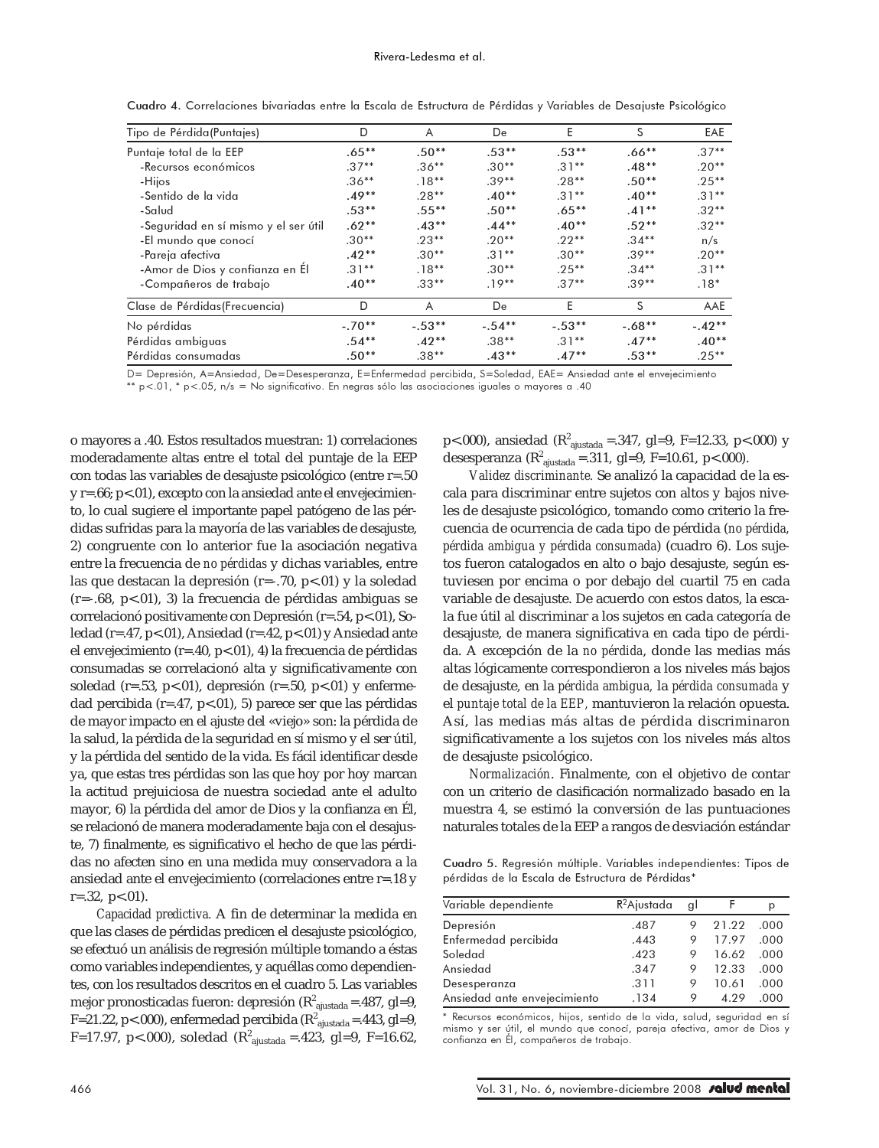| Tipo de Pérdida(Puntajes)            | D        | A        | De       | E        | S        | EAE        |
|--------------------------------------|----------|----------|----------|----------|----------|------------|
| Puntaje total de la EEP              | $.65***$ | $.50**$  | $.53**$  | $.53**$  | $.66***$ | $.37**$    |
| -Recursos económicos                 | $.37**$  | $.36**$  | $.30**$  | $.31**$  | $.48**$  | $.20**$    |
| -Hijos                               | $.36**$  | $.18**$  | $.39**$  | $.28**$  | $.50**$  | $.25***$   |
| -Sentido de la vida                  | $.49**$  | $.28**$  | $.40**$  | $.31**$  | $.40**$  | $.31**$    |
| -Salud                               | $.53***$ | $.55***$ | $.50**$  | $.65***$ | $.41**$  | $.32**$    |
| -Seguridad en sí mismo y el ser útil | $.62**$  | $.43***$ | $.44***$ | $.40**$  | $.52**$  | $.32**$    |
| -El mundo que conocí                 | $.30**$  | $.23**$  | $.20**$  | $.22**$  | $.34***$ | n/s        |
| -Pareja afectiva                     | $.42**$  | $.30**$  | $.31**$  | $.30**$  | $.39**$  | $.20**$    |
| -Amor de Dios y confianza en El      | $.31**$  | $.18**$  | $.30**$  | $.25***$ | $.34**$  | $.31**$    |
| -Compañeros de trabajo               | $.40**$  | $.33**$  | $.19**$  | $.37**$  | $.39**$  | $.18*$     |
| Clase de Pérdidas (Frecuencia)       | D        | A        | De       | E        | S        | <b>AAE</b> |
| No pérdidas                          | $-.70**$ | $-.53**$ | $-.54**$ | $-.53**$ | $-.68**$ | $-.42**$   |
| Pérdidas ambiguas                    | $.54***$ | $.42**$  | $.38**$  | $.31**$  | $.47**$  | $.40**$    |
| Pérdidas consumadas                  | $.50**$  | $.38**$  | $.43**$  | $.47**$  | $.53**$  | $.25***$   |

Cuadro 4. Correlaciones bivariadas entre la Escala de Estructura de Pérdidas y Variables de Desajuste Psicológico

D= Depresión, A=Ansiedad, De=Desesperanza, E=Enfermedad percibida, S=Soledad, EAE= Ansiedad ante el envejecimiento \*\* p<.01, \* p<.05, n/s = No significativo. En negras sólo las asociaciones iguales o mayores a .40

o mayores a .40. Estos resultados muestran: 1) correlaciones moderadamente altas entre el total del puntaje de la EEP con todas las variables de desajuste psicológico (entre r=.50 y r=.66; p<.01), excepto con la ansiedad ante el envejecimiento, lo cual sugiere el importante papel patógeno de las pérdidas sufridas para la mayoría de las variables de desajuste, 2) congruente con lo anterior fue la asociación negativa entre la frecuencia de *no pérdidas* y dichas variables, entre las que destacan la depresión (r=-.70, p<.01) y la soledad (r=-.68, p<.01), 3) la frecuencia de pérdidas ambiguas se correlacionó positivamente con Depresión (r=.54, p<.01), Soledad (r=.47, p<.01), Ansiedad (r=.42, p<.01) y Ansiedad ante el envejecimiento (r=.40, p<.01), 4) la frecuencia de pérdidas consumadas se correlacionó alta y significativamente con soledad (r=.53, p<.01), depresión (r=.50, p<.01) y enfermedad percibida ( $r = .47$ ,  $p < .01$ ), 5) parece ser que las pérdidas de mayor impacto en el ajuste del «viejo» son: la pérdida de la salud, la pérdida de la seguridad en sí mismo y el ser útil, y la pérdida del sentido de la vida. Es fácil identificar desde ya, que estas tres pérdidas son las que hoy por hoy marcan la actitud prejuiciosa de nuestra sociedad ante el adulto mayor, 6) la pérdida del amor de Dios y la confianza en Él, se relacionó de manera moderadamente baja con el desajuste, 7) finalmente, es significativo el hecho de que las pérdidas no afecten sino en una medida muy conservadora a la ansiedad ante el envejecimiento (correlaciones entre r=.18 y r=.32, p<.01).

*Capacidad predictiva.* A fin de determinar la medida en que las clases de pérdidas predicen el desajuste psicológico, se efectuó un análisis de regresión múltiple tomando a éstas como variables independientes, y aquéllas como dependientes, con los resultados descritos en el cuadro 5. Las variables mejor pronosticadas fueron: depresión ( $R^2$ <sub>ajustada</sub> = 487, gl=9, F=21.22, p<.000), enfermedad percibida ( $R^2$ <sub>ajustada</sub>=.443, gl=9, F=17.97, p<.000), soledad ( $R^2_{\text{ajustada}}$  =.423, gl=9, F=16.62,

p<.000), ansiedad (R<sup>2</sup><sub>ajustada</sub> = 347, gl=9, F=12.33, p<.000) y desesperanza ( $\mathbb{R}^2$ <sub>ajustada</sub> = 311, gl=9, F=10.61, p<.000).

*Validez discriminante.* Se analizó la capacidad de la escala para discriminar entre sujetos con altos y bajos niveles de desajuste psicológico, tomando como criterio la frecuencia de ocurrencia de cada tipo de pérdida (*no pérdida, pérdida ambigua y pérdida consumada*) (cuadro 6). Los sujetos fueron catalogados en alto o bajo desajuste, según estuviesen por encima o por debajo del cuartil 75 en cada variable de desajuste. De acuerdo con estos datos, la escala fue útil al discriminar a los sujetos en cada categoría de desajuste, de manera significativa en cada tipo de pérdida. A excepción de la *no pérdida*, donde las medias más altas lógicamente correspondieron a los niveles más bajos de desajuste, en la *pérdida ambigua,* la *pérdida consumada* y el *puntaje total de la EEP,* mantuvieron la relación opuesta. Así, las medias más altas de pérdida discriminaron significativamente a los sujetos con los niveles más altos de desajuste psicológico.

*Normalización*. Finalmente, con el objetivo de contar con un criterio de clasificación normalizado basado en la muestra 4, se estimó la conversión de las puntuaciones naturales totales de la EEP a rangos de desviación estándar

Cuadro 5. Regresión múltiple. Variables independientes: Tipos de pérdidas de la Escala de Estructura de Pérdidas\*

| Variable dependiente         | R <sup>2</sup> Ajustada | gl |       | р    |
|------------------------------|-------------------------|----|-------|------|
| Depresión                    | .487                    | 9  | 21.22 | .000 |
| Enfermedad percibida         | .443                    | 9  | 17.97 | .000 |
| Soledad                      | .423                    | 9  | 16.62 | .000 |
| Ansiedad                     | .347                    | 9  | 12.33 | .000 |
| Desesperanza                 | .311                    | 9  | 10.61 | .000 |
| Ansiedad ante envejecimiento | .134                    | 9  | 4.29  | .000 |

\* Recursos económicos, hijos, sentido de la vida, salud, seguridad en sí mismo y ser útil, el mundo que conocí, pareja afectiva, amor de Dios y confianza en Él, compañeros de trabajo.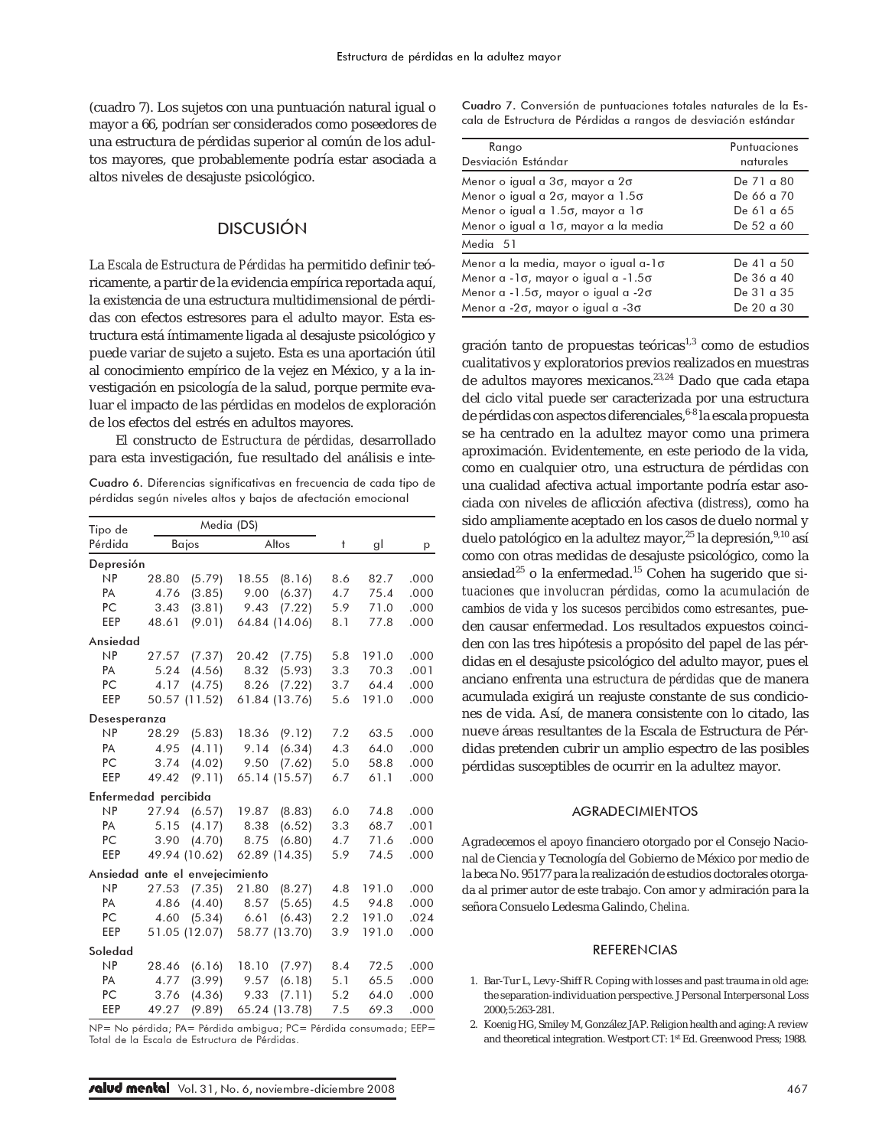(cuadro 7). Los sujetos con una puntuación natural igual o mayor a 66, podrían ser considerados como poseedores de una estructura de pérdidas superior al común de los adultos mayores, que probablemente podría estar asociada a altos niveles de desajuste psicológico.

### DISCUSIÓN

La *Escala de Estructura de Pérdidas* ha permitido definir teóricamente, a partir de la evidencia empírica reportada aquí, la existencia de una estructura multidimensional de pérdidas con efectos estresores para el adulto mayor. Esta estructura está íntimamente ligada al desajuste psicológico y puede variar de sujeto a sujeto. Esta es una aportación útil al conocimiento empírico de la vejez en México, y a la investigación en psicología de la salud, porque permite evaluar el impacto de las pérdidas en modelos de exploración de los efectos del estrés en adultos mayores.

El constructo de *Estructura de pérdidas,* desarrollado para esta investigación, fue resultado del análisis e inte-

Cuadro 6. Diferencias significativas en frecuencia de cada tipo de pérdidas según niveles altos y bajos de afectación emocional

| Tipo de                         |       | Media (DS)    |               |        |            |       |      |
|---------------------------------|-------|---------------|---------------|--------|------------|-------|------|
| Pérdida                         |       | Bajos         | Altos         |        | $\ddagger$ | gl    | p    |
| Depresión                       |       |               |               |        |            |       |      |
| NP                              | 28.80 | (5.79)        | 18.55         | (8.16) | 8.6        | 82.7  | .000 |
| PA                              | 4.76  | (3.85)        | 9.00          | (6.37) | 4.7        | 75.4  | .000 |
| PC                              | 3.43  | (3.81)        | 9.43          | (7.22) | 5.9        | 71.0  | .000 |
| EEP                             | 48.61 | (9.01)        | 64.84 (14.06) |        | 8.1        | 77.8  | .000 |
| Ansiedad                        |       |               |               |        |            |       |      |
| NP                              | 27.57 | (7.37)        | 20.42         | (7.75) | 5.8        | 191.0 | .000 |
| PA                              | 5.24  | (4.56)        | 8.32          | (5.93) | 3.3        | 70.3  | .001 |
| PC                              | 4.17  | (4.75)        | 8.26          | (7.22) | 3.7        | 64.4  | .000 |
| EEP                             | 50.57 | (11.52)       | 61.84 (13.76) |        | 5.6        | 191.0 | .000 |
| Desesperanza                    |       |               |               |        |            |       |      |
| NP                              | 28.29 | (5.83)        | 18.36         | (9.12) | 7.2        | 63.5  | .000 |
| PA                              | 4.95  | (4.11)        | 9.14          | (6.34) | 4.3        | 64.0  | .000 |
| PC                              | 3.74  | (4.02)        | 9.50          | (7.62) | 5.0        | 58.8  | .000 |
| EEP                             | 49.42 | (9.11)        | 65.14 (15.57) |        | 6.7        | 61.1  | .000 |
| Enfermedad percibida            |       |               |               |        |            |       |      |
| NP                              | 27.94 | (6.57)        | 19.87         | (8.83) | 6.0        | 74.8  | .000 |
| <b>PA</b>                       | 5.15  | (4.17)        | 8.38          | (6.52) | 3.3        | 68.7  | .001 |
| PC                              | 3.90  | (4.70)        | 8.75          | (6.80) | 4.7        | 71.6  | .000 |
| EEP                             |       | 49.94 (10.62) | 62.89 (14.35) |        | 5.9        | 74.5  | .000 |
| Ansiedad ante el envejecimiento |       |               |               |        |            |       |      |
| NP                              | 27.53 | (7.35)        | 21.80         | (8.27) | 4.8        | 191.0 | .000 |
| PA                              | 4.86  | (4.40)        | 8.57          | (5.65) | 4.5        | 94.8  | .000 |
| PC                              | 4.60  | (5.34)        | 6.61          | (6.43) | $2.2\,$    | 191.0 | .024 |
| EEP                             |       | 51.05 (12.07) | 58.77 (13.70) |        | 3.9        | 191.0 | .000 |
| Soledad                         |       |               |               |        |            |       |      |
| NP                              | 28.46 | (6.16)        | 18.10         | (7.97) | 8.4        | 72.5  | .000 |
| <b>PA</b>                       | 4.77  | (3.99)        | 9.57          | (6.18) | 5.1        | 65.5  | .000 |
| PC                              | 3.76  | (4.36)        | 9.33          | (7.11) | 5.2        | 64.0  | .000 |
| EEP                             | 49.27 | (9.89)        | 65.24 (13.78) |        | 7.5        | 69.3  | .000 |

NP= No pérdida; PA= Pérdida ambigua; PC= Pérdida consumada; EEP= Total de la Escala de Estructura de Pérdidas.

Cuadro 7. Conversión de puntuaciones totales naturales de la Escala de Estructura de Pérdidas a rangos de desviación estándar

| Rango                                             | Puntuaciones |
|---------------------------------------------------|--------------|
| Desviación Estándar                               | naturales    |
| Menor o igual a 3σ, mayor a 2σ                    | De 71 a 80   |
| Menor o igual a 2σ, mayor a 1.5σ                  | De 66 a 70   |
| Menor o igual a 1.5σ, mayor a 1σ                  | De 61 a 65   |
| Menor o igual a 1σ, mayor a la media              | De 52 a 60   |
| Media 51                                          |              |
| Menor a la media, mayor o igual a-1σ              | De 41 a 50   |
| Menor a -1σ, mayor o igual a -1.5σ                | De 36 a 40   |
| Menor a -1.5σ, mayor o igual a -2σ                | De 31 a 35   |
| Menor a - $2\sigma$ , mayor o igual a - $3\sigma$ | De 20 a 30   |

gración tanto de propuestas teóricas $1,3$  como de estudios cualitativos y exploratorios previos realizados en muestras de adultos mayores mexicanos.<sup>23,24</sup> Dado que cada etapa del ciclo vital puede ser caracterizada por una estructura de pérdidas con aspectos diferenciales, 6-8 la escala propuesta se ha centrado en la adultez mayor como una primera aproximación. Evidentemente, en este periodo de la vida, como en cualquier otro, una estructura de pérdidas con una cualidad afectiva actual importante podría estar asociada con niveles de aflicción afectiva (*distress*), como ha sido ampliamente aceptado en los casos de duelo normal y duelo patológico en la adultez mayor,<sup>25</sup> la depresión, 9,10 así como con otras medidas de desajuste psicológico, como la ansiedad<sup>25</sup> o la enfermedad.<sup>15</sup> Cohen ha sugerido que *situaciones que involucran pérdidas,* como la *acumulación de cambios de vida y los sucesos percibidos como estresantes,* pueden causar enfermedad. Los resultados expuestos coinciden con las tres hipótesis a propósito del papel de las pérdidas en el desajuste psicológico del adulto mayor, pues el anciano enfrenta una *estructura de pérdidas* que de manera acumulada exigirá un reajuste constante de sus condiciones de vida. Así, de manera consistente con lo citado, las nueve áreas resultantes de la Escala de Estructura de Pérdidas pretenden cubrir un amplio espectro de las posibles pérdidas susceptibles de ocurrir en la adultez mayor.

### AGRADECIMIENTOS

Agradecemos el apoyo financiero otorgado por el Consejo Nacional de Ciencia y Tecnología del Gobierno de México por medio de la beca No. 95177 para la realización de estudios doctorales otorgada al primer autor de este trabajo. Con amor y admiración para la señora Consuelo Ledesma Galindo, *Chelina.*

#### **REFERENCIAS**

- 1. Bar-Tur L, Levy-Shiff R. Coping with losses and past trauma in old age: the separation-individuation perspective. J Personal Interpersonal Loss 2000;5:263-281.
- 2. Koenig HG, Smiley M, González JAP. Religion health and aging: A review and theoretical integration. Westport CT: 1st Ed. Greenwood Press; 1988.